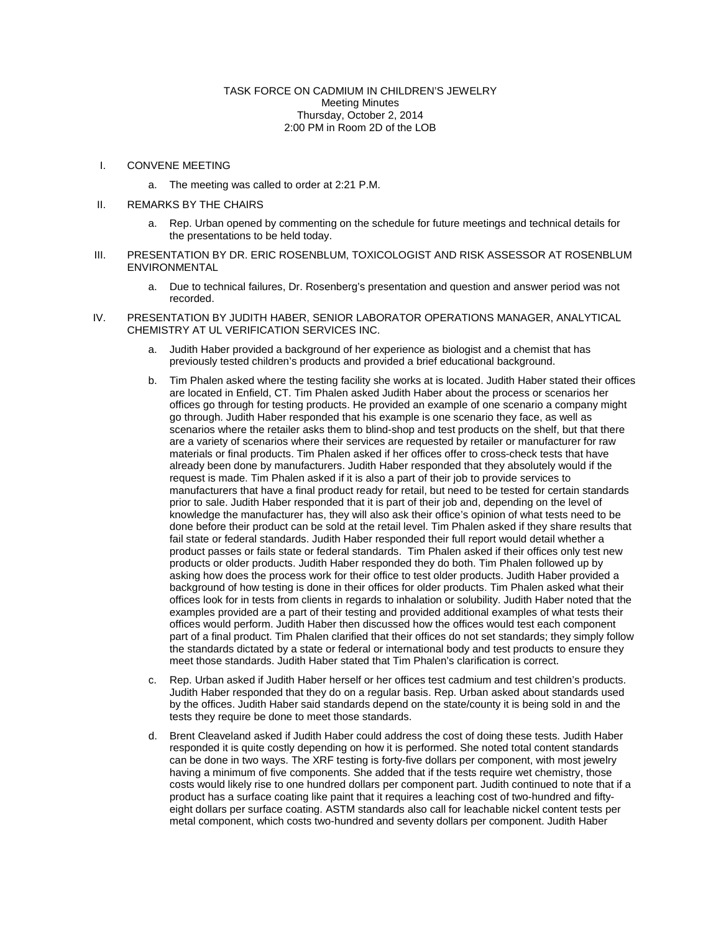## TASK FORCE ON CADMIUM IN CHILDREN'S JEWELRY Meeting Minutes Thursday, October 2, 2014 2:00 PM in Room 2D of the LOB

- I. CONVENE MEETING
	- a. The meeting was called to order at 2:21 P.M.
- II. REMARKS BY THE CHAIRS
	- a. Rep. Urban opened by commenting on the schedule for future meetings and technical details for the presentations to be held today.
- III. PRESENTATION BY DR. ERIC ROSENBLUM, TOXICOLOGIST AND RISK ASSESSOR AT ROSENBLUM ENVIRONMENTAL
	- a. Due to technical failures, Dr. Rosenberg's presentation and question and answer period was not recorded.
- IV. PRESENTATION BY JUDITH HABER, SENIOR LABORATOR OPERATIONS MANAGER, ANALYTICAL CHEMISTRY AT UL VERIFICATION SERVICES INC.
	- a. Judith Haber provided a background of her experience as biologist and a chemist that has previously tested children's products and provided a brief educational background.
	- b. Tim Phalen asked where the testing facility she works at is located. Judith Haber stated their offices are located in Enfield, CT. Tim Phalen asked Judith Haber about the process or scenarios her offices go through for testing products. He provided an example of one scenario a company might go through. Judith Haber responded that his example is one scenario they face, as well as scenarios where the retailer asks them to blind-shop and test products on the shelf, but that there are a variety of scenarios where their services are requested by retailer or manufacturer for raw materials or final products. Tim Phalen asked if her offices offer to cross-check tests that have already been done by manufacturers. Judith Haber responded that they absolutely would if the request is made. Tim Phalen asked if it is also a part of their job to provide services to manufacturers that have a final product ready for retail, but need to be tested for certain standards prior to sale. Judith Haber responded that it is part of their job and, depending on the level of knowledge the manufacturer has, they will also ask their office's opinion of what tests need to be done before their product can be sold at the retail level. Tim Phalen asked if they share results that fail state or federal standards. Judith Haber responded their full report would detail whether a product passes or fails state or federal standards. Tim Phalen asked if their offices only test new products or older products. Judith Haber responded they do both. Tim Phalen followed up by asking how does the process work for their office to test older products. Judith Haber provided a background of how testing is done in their offices for older products. Tim Phalen asked what their offices look for in tests from clients in regards to inhalation or solubility. Judith Haber noted that the examples provided are a part of their testing and provided additional examples of what tests their offices would perform. Judith Haber then discussed how the offices would test each component part of a final product. Tim Phalen clarified that their offices do not set standards; they simply follow the standards dictated by a state or federal or international body and test products to ensure they meet those standards. Judith Haber stated that Tim Phalen's clarification is correct.
	- c. Rep. Urban asked if Judith Haber herself or her offices test cadmium and test children's products. Judith Haber responded that they do on a regular basis. Rep. Urban asked about standards used by the offices. Judith Haber said standards depend on the state/county it is being sold in and the tests they require be done to meet those standards.
	- d. Brent Cleaveland asked if Judith Haber could address the cost of doing these tests. Judith Haber responded it is quite costly depending on how it is performed. She noted total content standards can be done in two ways. The XRF testing is forty-five dollars per component, with most jewelry having a minimum of five components. She added that if the tests require wet chemistry, those costs would likely rise to one hundred dollars per component part. Judith continued to note that if a product has a surface coating like paint that it requires a leaching cost of two-hundred and fiftyeight dollars per surface coating. ASTM standards also call for leachable nickel content tests per metal component, which costs two-hundred and seventy dollars per component. Judith Haber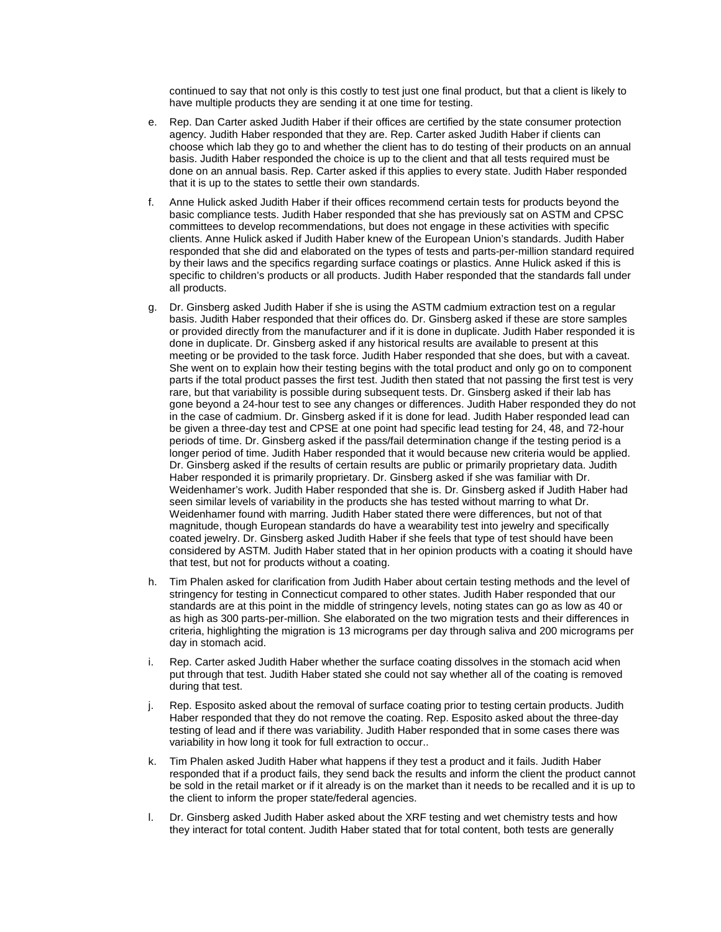continued to say that not only is this costly to test just one final product, but that a client is likely to have multiple products they are sending it at one time for testing.

- e. Rep. Dan Carter asked Judith Haber if their offices are certified by the state consumer protection agency. Judith Haber responded that they are. Rep. Carter asked Judith Haber if clients can choose which lab they go to and whether the client has to do testing of their products on an annual basis. Judith Haber responded the choice is up to the client and that all tests required must be done on an annual basis. Rep. Carter asked if this applies to every state. Judith Haber responded that it is up to the states to settle their own standards.
- f. Anne Hulick asked Judith Haber if their offices recommend certain tests for products beyond the basic compliance tests. Judith Haber responded that she has previously sat on ASTM and CPSC committees to develop recommendations, but does not engage in these activities with specific clients. Anne Hulick asked if Judith Haber knew of the European Union's standards. Judith Haber responded that she did and elaborated on the types of tests and parts-per-million standard required by their laws and the specifics regarding surface coatings or plastics. Anne Hulick asked if this is specific to children's products or all products. Judith Haber responded that the standards fall under all products.
- g. Dr. Ginsberg asked Judith Haber if she is using the ASTM cadmium extraction test on a regular basis. Judith Haber responded that their offices do. Dr. Ginsberg asked if these are store samples or provided directly from the manufacturer and if it is done in duplicate. Judith Haber responded it is done in duplicate. Dr. Ginsberg asked if any historical results are available to present at this meeting or be provided to the task force. Judith Haber responded that she does, but with a caveat. She went on to explain how their testing begins with the total product and only go on to component parts if the total product passes the first test. Judith then stated that not passing the first test is very rare, but that variability is possible during subsequent tests. Dr. Ginsberg asked if their lab has gone beyond a 24-hour test to see any changes or differences. Judith Haber responded they do not in the case of cadmium. Dr. Ginsberg asked if it is done for lead. Judith Haber responded lead can be given a three-day test and CPSE at one point had specific lead testing for 24, 48, and 72-hour periods of time. Dr. Ginsberg asked if the pass/fail determination change if the testing period is a longer period of time. Judith Haber responded that it would because new criteria would be applied. Dr. Ginsberg asked if the results of certain results are public or primarily proprietary data. Judith Haber responded it is primarily proprietary. Dr. Ginsberg asked if she was familiar with Dr. Weidenhamer's work. Judith Haber responded that she is. Dr. Ginsberg asked if Judith Haber had seen similar levels of variability in the products she has tested without marring to what Dr. Weidenhamer found with marring. Judith Haber stated there were differences, but not of that magnitude, though European standards do have a wearability test into jewelry and specifically coated jewelry. Dr. Ginsberg asked Judith Haber if she feels that type of test should have been considered by ASTM. Judith Haber stated that in her opinion products with a coating it should have that test, but not for products without a coating.
- h. Tim Phalen asked for clarification from Judith Haber about certain testing methods and the level of stringency for testing in Connecticut compared to other states. Judith Haber responded that our standards are at this point in the middle of stringency levels, noting states can go as low as 40 or as high as 300 parts-per-million. She elaborated on the two migration tests and their differences in criteria, highlighting the migration is 13 micrograms per day through saliva and 200 micrograms per day in stomach acid.
- i. Rep. Carter asked Judith Haber whether the surface coating dissolves in the stomach acid when put through that test. Judith Haber stated she could not say whether all of the coating is removed during that test.
- j. Rep. Esposito asked about the removal of surface coating prior to testing certain products. Judith Haber responded that they do not remove the coating. Rep. Esposito asked about the three-day testing of lead and if there was variability. Judith Haber responded that in some cases there was variability in how long it took for full extraction to occur..
- k. Tim Phalen asked Judith Haber what happens if they test a product and it fails. Judith Haber responded that if a product fails, they send back the results and inform the client the product cannot be sold in the retail market or if it already is on the market than it needs to be recalled and it is up to the client to inform the proper state/federal agencies.
- l. Dr. Ginsberg asked Judith Haber asked about the XRF testing and wet chemistry tests and how they interact for total content. Judith Haber stated that for total content, both tests are generally